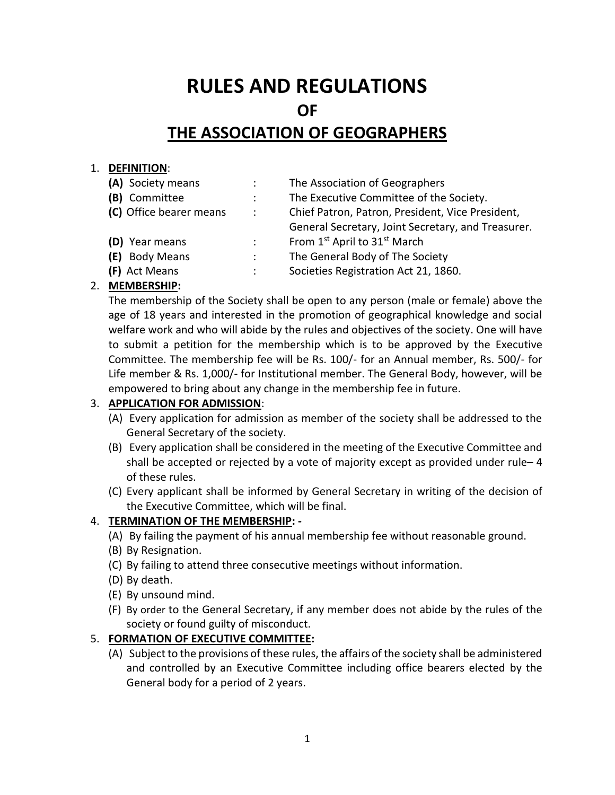# **RULES AND REGULATIONS OF THE ASSOCIATION OF GEOGRAPHERS**

## 1. **DEFINITION**:

- 
- 
- 
- 
- 
- 
- **(A)** Society means : The Association of Geographers
- **(B)** Committee : The Executive Committee of the Society.
- **(C)** Office bearer means : Chief Patron, Patron, President, Vice President,
	- General Secretary, Joint Secretary, and Treasurer.
- **(D)** Year means : From 1<sup>st</sup> April to 31<sup>st</sup> March
- **(E)** Body Means : The General Body of The Society
- **(F)** Act Means : Societies Registration Act 21, 1860.

# 2. **MEMBERSHIP:**

The membership of the Society shall be open to any person (male or female) above the age of 18 years and interested in the promotion of geographical knowledge and social welfare work and who will abide by the rules and objectives of the society. One will have to submit a petition for the membership which is to be approved by the Executive Committee. The membership fee will be Rs. 100/- for an Annual member, Rs. 500/- for Life member & Rs. 1,000/- for Institutional member. The General Body, however, will be empowered to bring about any change in the membership fee in future.

# 3. **APPLICATION FOR ADMISSION**:

- (A) Every application for admission as member of the society shall be addressed to the General Secretary of the society.
- (B) Every application shall be considered in the meeting of the Executive Committee and shall be accepted or rejected by a vote of majority except as provided under rule– 4 of these rules.
- (C) Every applicant shall be informed by General Secretary in writing of the decision of the Executive Committee, which will be final.

# 4. **TERMINATION OF THE MEMBERSHIP: -**

- (A) By failing the payment of his annual membership fee without reasonable ground.
- (B) By Resignation.
- (C) By failing to attend three consecutive meetings without information.
- (D) By death.
- (E) By unsound mind.
- (F) By order to the General Secretary, if any member does not abide by the rules of the society or found guilty of misconduct.

# 5. **FORMATION OF EXECUTIVE COMMITTEE:**

(A) Subject to the provisions of these rules, the affairs of the society shall be administered and controlled by an Executive Committee including office bearers elected by the General body for a period of 2 years.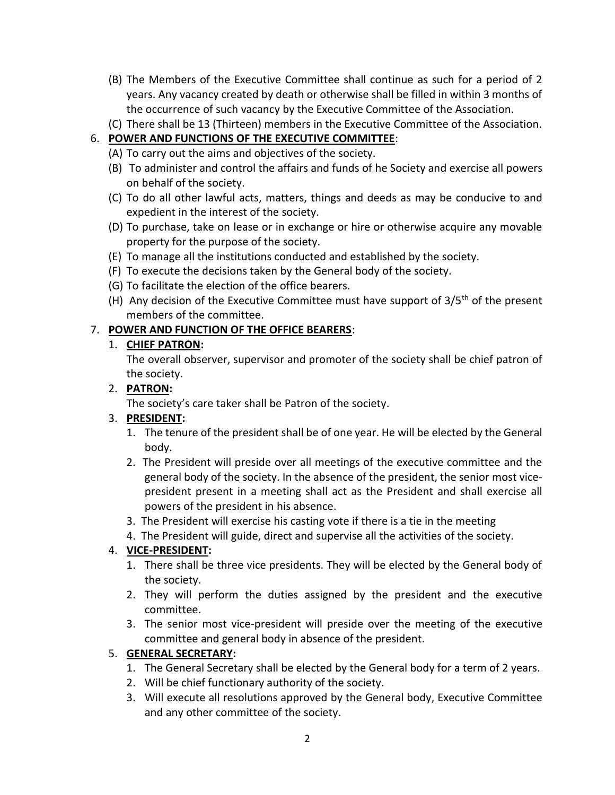- (B) The Members of the Executive Committee shall continue as such for a period of 2 years. Any vacancy created by death or otherwise shall be filled in within 3 months of the occurrence of such vacancy by the Executive Committee of the Association.
- (C) There shall be 13 (Thirteen) members in the Executive Committee of the Association.

# 6. **POWER AND FUNCTIONS OF THE EXECUTIVE COMMITTEE**:

- (A) To carry out the aims and objectives of the society.
- (B) To administer and control the affairs and funds of he Society and exercise all powers on behalf of the society.
- (C) To do all other lawful acts, matters, things and deeds as may be conducive to and expedient in the interest of the society.
- (D) To purchase, take on lease or in exchange or hire or otherwise acquire any movable property for the purpose of the society.
- (E) To manage all the institutions conducted and established by the society.
- (F) To execute the decisions taken by the General body of the society.
- (G) To facilitate the election of the office bearers.
- (H) Any decision of the Executive Committee must have support of  $3/5<sup>th</sup>$  of the present members of the committee.

# 7. **POWER AND FUNCTION OF THE OFFICE BEARERS**:

# 1. **CHIEF PATRON:**

The overall observer, supervisor and promoter of the society shall be chief patron of the society.

## 2. **PATRON:**

The society's care taker shall be Patron of the society.

# 3. **PRESIDENT:**

- 1. The tenure of the president shall be of one year. He will be elected by the General body.
- 2. The President will preside over all meetings of the executive committee and the general body of the society. In the absence of the president, the senior most vicepresident present in a meeting shall act as the President and shall exercise all powers of the president in his absence.
- 3. The President will exercise his casting vote if there is a tie in the meeting
- 4. The President will guide, direct and supervise all the activities of the society.

# 4. **VICE-PRESIDENT:**

- 1. There shall be three vice presidents. They will be elected by the General body of the society.
- 2. They will perform the duties assigned by the president and the executive committee.
- 3. The senior most vice-president will preside over the meeting of the executive committee and general body in absence of the president.

# 5. **GENERAL SECRETARY:**

- 1. The General Secretary shall be elected by the General body for a term of 2 years.
- 2. Will be chief functionary authority of the society.
- 3. Will execute all resolutions approved by the General body, Executive Committee and any other committee of the society.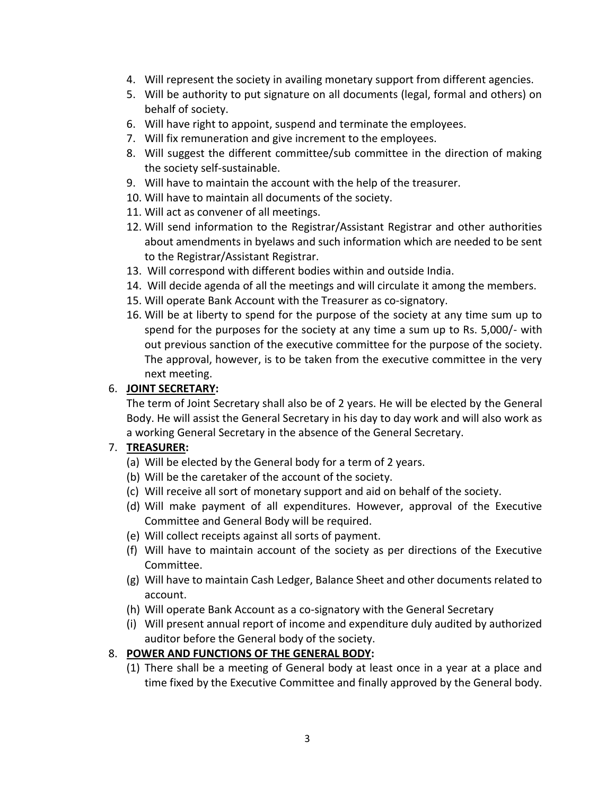- 4. Will represent the society in availing monetary support from different agencies.
- 5. Will be authority to put signature on all documents (legal, formal and others) on behalf of society.
- 6. Will have right to appoint, suspend and terminate the employees.
- 7. Will fix remuneration and give increment to the employees.
- 8. Will suggest the different committee/sub committee in the direction of making the society self-sustainable.
- 9. Will have to maintain the account with the help of the treasurer.
- 10. Will have to maintain all documents of the society.
- 11. Will act as convener of all meetings.
- 12. Will send information to the Registrar/Assistant Registrar and other authorities about amendments in byelaws and such information which are needed to be sent to the Registrar/Assistant Registrar.
- 13. Will correspond with different bodies within and outside India.
- 14. Will decide agenda of all the meetings and will circulate it among the members.
- 15. Will operate Bank Account with the Treasurer as co-signatory.
- 16. Will be at liberty to spend for the purpose of the society at any time sum up to spend for the purposes for the society at any time a sum up to Rs. 5,000/- with out previous sanction of the executive committee for the purpose of the society. The approval, however, is to be taken from the executive committee in the very next meeting.

# 6. **JOINT SECRETARY:**

The term of Joint Secretary shall also be of 2 years. He will be elected by the General Body. He will assist the General Secretary in his day to day work and will also work as a working General Secretary in the absence of the General Secretary.

#### 7. **TREASURER:**

- (a) Will be elected by the General body for a term of 2 years.
- (b) Will be the caretaker of the account of the society.
- (c) Will receive all sort of monetary support and aid on behalf of the society.
- (d) Will make payment of all expenditures. However, approval of the Executive Committee and General Body will be required.
- (e) Will collect receipts against all sorts of payment.
- (f) Will have to maintain account of the society as per directions of the Executive Committee.
- (g) Will have to maintain Cash Ledger, Balance Sheet and other documents related to account.
- (h) Will operate Bank Account as a co-signatory with the General Secretary
- (i) Will present annual report of income and expenditure duly audited by authorized auditor before the General body of the society.

# 8. **POWER AND FUNCTIONS OF THE GENERAL BODY:**

(1) There shall be a meeting of General body at least once in a year at a place and time fixed by the Executive Committee and finally approved by the General body.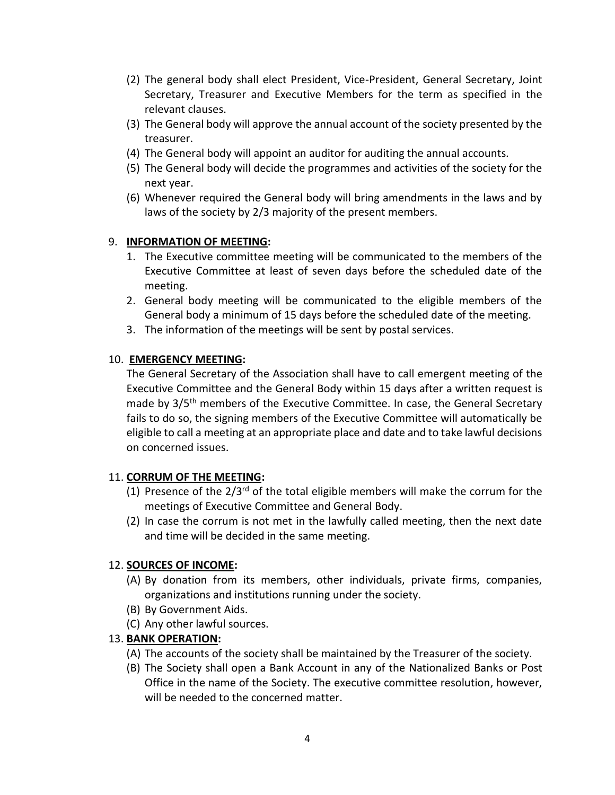- (2) The general body shall elect President, Vice-President, General Secretary, Joint Secretary, Treasurer and Executive Members for the term as specified in the relevant clauses.
- (3) The General body will approve the annual account of the society presented by the treasurer.
- (4) The General body will appoint an auditor for auditing the annual accounts.
- (5) The General body will decide the programmes and activities of the society for the next year.
- (6) Whenever required the General body will bring amendments in the laws and by laws of the society by 2/3 majority of the present members.

#### 9. **INFORMATION OF MEETING:**

- 1. The Executive committee meeting will be communicated to the members of the Executive Committee at least of seven days before the scheduled date of the meeting.
- 2. General body meeting will be communicated to the eligible members of the General body a minimum of 15 days before the scheduled date of the meeting.
- 3. The information of the meetings will be sent by postal services.

## 10. **EMERGENCY MEETING:**

The General Secretary of the Association shall have to call emergent meeting of the Executive Committee and the General Body within 15 days after a written request is made by 3/5<sup>th</sup> members of the Executive Committee. In case, the General Secretary fails to do so, the signing members of the Executive Committee will automatically be eligible to call a meeting at an appropriate place and date and to take lawful decisions on concerned issues.

#### 11. **CORRUM OF THE MEETING:**

- (1) Presence of the  $2/3^{rd}$  of the total eligible members will make the corrum for the meetings of Executive Committee and General Body.
- (2) In case the corrum is not met in the lawfully called meeting, then the next date and time will be decided in the same meeting.

#### 12. **SOURCES OF INCOME:**

- (A) By donation from its members, other individuals, private firms, companies, organizations and institutions running under the society.
- (B) By Government Aids.
- (C) Any other lawful sources.

#### 13. **BANK OPERATION:**

- (A) The accounts of the society shall be maintained by the Treasurer of the society.
- (B) The Society shall open a Bank Account in any of the Nationalized Banks or Post Office in the name of the Society. The executive committee resolution, however, will be needed to the concerned matter.